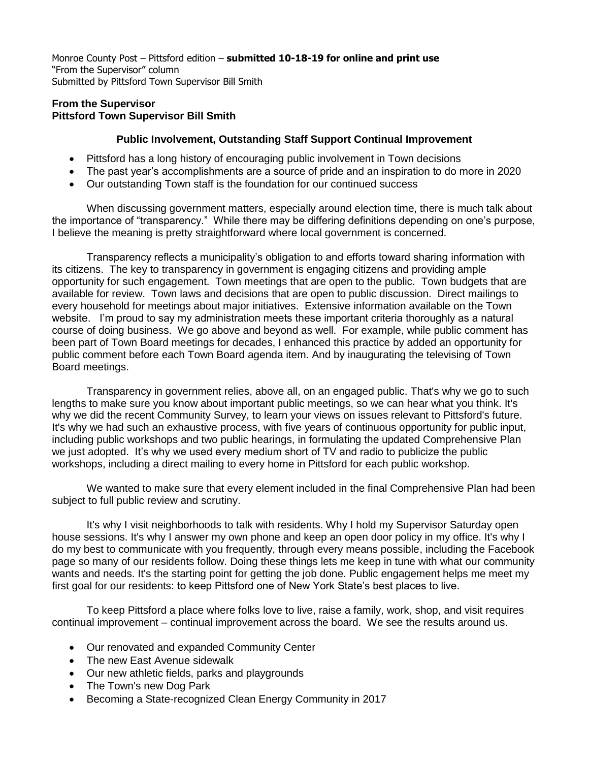Monroe County Post – Pittsford edition – **submitted 10-18-19 for online and print use** "From the Supervisor" column Submitted by Pittsford Town Supervisor Bill Smith

## **From the Supervisor Pittsford Town Supervisor Bill Smith**

## **Public Involvement, Outstanding Staff Support Continual Improvement**

- Pittsford has a long history of encouraging public involvement in Town decisions
- The past year's accomplishments are a source of pride and an inspiration to do more in 2020
- Our outstanding Town staff is the foundation for our continued success

When discussing government matters, especially around election time, there is much talk about the importance of "transparency." While there may be differing definitions depending on one's purpose, I believe the meaning is pretty straightforward where local government is concerned.

Transparency reflects a municipality's obligation to and efforts toward sharing information with its citizens. The key to transparency in government is engaging citizens and providing ample opportunity for such engagement. Town meetings that are open to the public. Town budgets that are available for review. Town laws and decisions that are open to public discussion. Direct mailings to every household for meetings about major initiatives. Extensive information available on the Town website. I'm proud to say my administration meets these important criteria thoroughly as a natural course of doing business. We go above and beyond as well. For example, while public comment has been part of Town Board meetings for decades, I enhanced this practice by added an opportunity for public comment before each Town Board agenda item. And by inaugurating the televising of Town Board meetings.

Transparency in government relies, above all, on an engaged public. That's why we go to such lengths to make sure you know about important public meetings, so we can hear what you think. It's why we did the recent Community Survey, to learn your views on issues relevant to Pittsford's future. It's why we had such an exhaustive process, with five years of continuous opportunity for public input, including public workshops and two public hearings, in formulating the updated Comprehensive Plan we just adopted. It's why we used every medium short of TV and radio to publicize the public workshops, including a direct mailing to every home in Pittsford for each public workshop.

We wanted to make sure that every element included in the final Comprehensive Plan had been subject to full public review and scrutiny.

It's why I visit neighborhoods to talk with residents. Why I hold my Supervisor Saturday open house sessions. It's why I answer my own phone and keep an open door policy in my office. It's why I do my best to communicate with you frequently, through every means possible, including the Facebook page so many of our residents follow. Doing these things lets me keep in tune with what our community wants and needs. It's the starting point for getting the job done. Public engagement helps me meet my first goal for our residents: to keep Pittsford one of New York State's best places to live.

To keep Pittsford a place where folks love to live, raise a family, work, shop, and visit requires continual improvement – continual improvement across the board. We see the results around us.

- Our renovated and expanded Community Center
- The new East Avenue sidewalk
- Our new athletic fields, parks and playgrounds
- The Town's new Dog Park
- Becoming a State-recognized Clean Energy Community in 2017